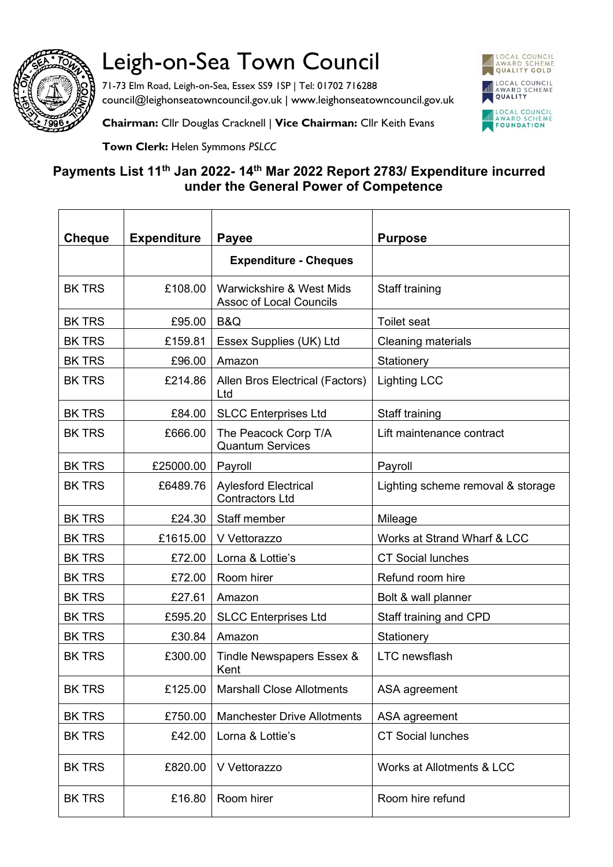

## Leigh-on-Sea Town Council

71-73 Elm Road, Leigh-on-Sea, Essex SS9 1SP | Tel: 01702 716288 council@leighonseatowncouncil.gov.uk | www.leighonseatowncouncil.gov.uk



**Chairman:** Cllr Douglas Cracknell | **Vice Chairman:** Cllr Keith Evans

**Town Clerk:** Helen Symmons *PSLCC*

## **Payments List 11th Jan 2022- 14th Mar 2022 Report 2783/ Expenditure incurred under the General Power of Competence**

| <b>Cheque</b> | <b>Expenditure</b> | <b>Payee</b>                                               | <b>Purpose</b>                    |
|---------------|--------------------|------------------------------------------------------------|-----------------------------------|
|               |                    | <b>Expenditure - Cheques</b>                               |                                   |
| <b>BK TRS</b> | £108.00            | Warwickshire & West Mids<br><b>Assoc of Local Councils</b> | Staff training                    |
| <b>BK TRS</b> | £95.00             | B&Q                                                        | <b>Toilet seat</b>                |
| <b>BK TRS</b> | £159.81            | Essex Supplies (UK) Ltd                                    | <b>Cleaning materials</b>         |
| <b>BK TRS</b> | £96.00             | Amazon                                                     | Stationery                        |
| <b>BK TRS</b> | £214.86            | Allen Bros Electrical (Factors)<br>Ltd                     | <b>Lighting LCC</b>               |
| <b>BK TRS</b> | £84.00             | <b>SLCC Enterprises Ltd</b>                                | Staff training                    |
| <b>BK TRS</b> | £666.00            | The Peacock Corp T/A<br><b>Quantum Services</b>            | Lift maintenance contract         |
| <b>BK TRS</b> | £25000.00          | Payroll                                                    | Payroll                           |
| <b>BK TRS</b> | £6489.76           | <b>Aylesford Electrical</b><br><b>Contractors Ltd</b>      | Lighting scheme removal & storage |
| <b>BK TRS</b> | £24.30             | Staff member                                               | Mileage                           |
| <b>BK TRS</b> | £1615.00           | V Vettorazzo                                               | Works at Strand Wharf & LCC       |
| <b>BK TRS</b> | £72.00             | Lorna & Lottie's                                           | <b>CT Social lunches</b>          |
| <b>BK TRS</b> | £72.00             | Room hirer                                                 | Refund room hire                  |
| <b>BK TRS</b> | £27.61             | Amazon                                                     | Bolt & wall planner               |
| <b>BK TRS</b> | £595.20            | <b>SLCC Enterprises Ltd</b>                                | Staff training and CPD            |
| <b>BK TRS</b> | £30.84             | Amazon                                                     | Stationery                        |
| <b>BK TRS</b> | £300.00            | Tindle Newspapers Essex &<br>Kent                          | <b>LTC</b> newsflash              |
| <b>BK TRS</b> | £125.00            | <b>Marshall Close Allotments</b>                           | ASA agreement                     |
| <b>BK TRS</b> | £750.00            | <b>Manchester Drive Allotments</b>                         | ASA agreement                     |
| <b>BK TRS</b> | £42.00             | Lorna & Lottie's                                           | <b>CT Social lunches</b>          |
| <b>BK TRS</b> | £820.00            | V Vettorazzo                                               | Works at Allotments & LCC         |
| <b>BK TRS</b> | £16.80             | Room hirer                                                 | Room hire refund                  |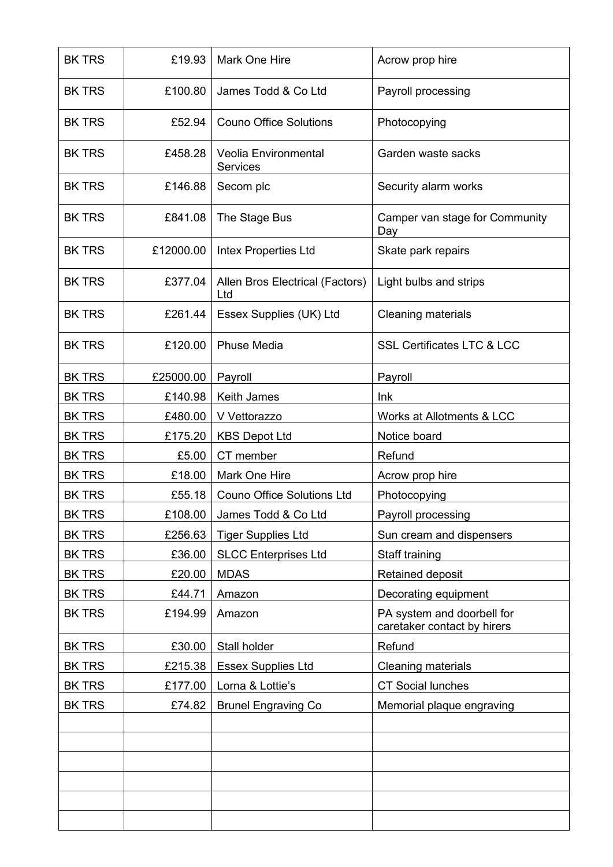| <b>BK TRS</b> | £19.93    | <b>Mark One Hire</b>                           | Acrow prop hire                                           |
|---------------|-----------|------------------------------------------------|-----------------------------------------------------------|
| <b>BK TRS</b> | £100.80   | James Todd & Co Ltd                            | Payroll processing                                        |
| <b>BK TRS</b> | £52.94    | <b>Couno Office Solutions</b>                  | Photocopying                                              |
| <b>BK TRS</b> | £458.28   | <b>Veolia Environmental</b><br><b>Services</b> | Garden waste sacks                                        |
| <b>BK TRS</b> | £146.88   | Secom plc                                      | Security alarm works                                      |
| <b>BK TRS</b> | £841.08   | The Stage Bus                                  | Camper van stage for Community<br>Day                     |
| <b>BK TRS</b> | £12000.00 | <b>Intex Properties Ltd</b>                    | Skate park repairs                                        |
| <b>BK TRS</b> | £377.04   | Allen Bros Electrical (Factors)<br>Ltd         | Light bulbs and strips                                    |
| <b>BK TRS</b> | £261.44   | Essex Supplies (UK) Ltd                        | <b>Cleaning materials</b>                                 |
| <b>BK TRS</b> | £120.00   | <b>Phuse Media</b>                             | <b>SSL Certificates LTC &amp; LCC</b>                     |
| <b>BK TRS</b> | £25000.00 | Payroll                                        | Payroll                                                   |
| <b>BK TRS</b> | £140.98   | Keith James                                    | Ink                                                       |
| <b>BK TRS</b> | £480.00   | V Vettorazzo                                   | Works at Allotments & LCC                                 |
| <b>BK TRS</b> | £175.20   | <b>KBS Depot Ltd</b>                           | Notice board                                              |
| <b>BK TRS</b> | £5.00     | CT member                                      | Refund                                                    |
| <b>BK TRS</b> | £18.00    | Mark One Hire                                  | Acrow prop hire                                           |
| <b>BK TRS</b> | £55.18    | <b>Couno Office Solutions Ltd</b>              | Photocopying                                              |
| <b>BK TRS</b> | £108.00   | James Todd & Co Ltd                            | Payroll processing                                        |
| <b>BK TRS</b> | £256.63   | <b>Tiger Supplies Ltd</b>                      | Sun cream and dispensers                                  |
| <b>BK TRS</b> | £36.00    | <b>SLCC Enterprises Ltd</b>                    | Staff training                                            |
| <b>BK TRS</b> | £20.00    | <b>MDAS</b>                                    | Retained deposit                                          |
| <b>BK TRS</b> | £44.71    | Amazon                                         | Decorating equipment                                      |
| <b>BK TRS</b> | £194.99   | Amazon                                         | PA system and doorbell for<br>caretaker contact by hirers |
| <b>BK TRS</b> | £30.00    | Stall holder                                   | Refund                                                    |
| <b>BK TRS</b> | £215.38   | <b>Essex Supplies Ltd</b>                      | Cleaning materials                                        |
| <b>BK TRS</b> | £177.00   | Lorna & Lottie's                               | <b>CT Social lunches</b>                                  |
| <b>BK TRS</b> | £74.82    | <b>Brunel Engraving Co</b>                     | Memorial plaque engraving                                 |
|               |           |                                                |                                                           |
|               |           |                                                |                                                           |
|               |           |                                                |                                                           |
|               |           |                                                |                                                           |
|               |           |                                                |                                                           |
|               |           |                                                |                                                           |